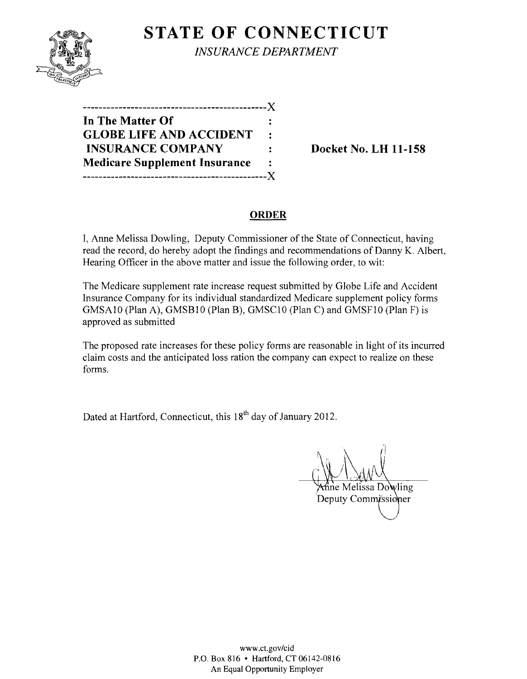

**STATE OF CONNECTICUT** *INSURANCE DEPARTMENT* 

----------------------------------------------)( **In The Matter Of GLOBE LIFE AND ACCIDENT**   $\ddot{\cdot}$ **INSURANCE COMPANY** : Docket No. LH 11-158 **Medicare Supplement Insurance**   $\ddot{\cdot}$ ----------------------------------------------)(

## **ORDER**

I, Anne Melissa Dowling, Deputy Commissioner of the State of Connecticut, having read the record, do hereby adopt the findings and recommendations of Danny K. Albert, Hearing Officer in the above matter and issue the following order, to wit:

The Medicare supplement rate increase request submitted by Globe Life and Accident Insurance Company for its individual standardized Medicare supplement policy forms GMSA10 (Plan A), GMSB10 (Plan B), GMSCI0 (Plan C) and GMSF10 (Plan F) is approved as submitted

The proposed rate increases for these policy forms are reasonable in light of its incurred claim costs and the anticipated loss ration the company can expect to realize on these forms.

Dated at Hartford, Connecticut, this 18<sup>th</sup> day of January 2012.

ne Melissa Dowling

Deputy Commissioner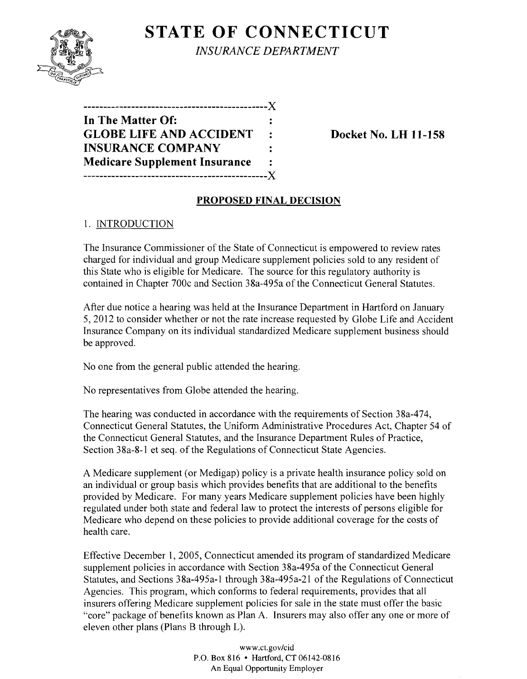

**STATE OF CONNECTICUT** *INSURANCE DEPARTMENT* 

**----------------------------------------------J( In The Matter Of:**  GLOBE LIFE AND ACCIDENT : Docket No. LH 11-158 **INSURANCE COMPANY Medicare Supplement Insurance ----------------------------------------------J(** 

## **PROPOSED FINAL DECISION**

## 1. INTRODUCTION

The Insurance Commissioner of the State of Connecticut is empowered to review rates charged for individual and group Medicare supplement policies sold to any resident of this State who is eligible for Medicare. The source for this regulatory authority is contained in Chapter 700c and Section 38a-495a of the Connecticut General Statutes.

After due notice a hearing was held at the Insurance Department in Hartford on January 5, 2012 to consider whether or not the rate increase requested by Globe Life and Accident Insurance Company on its individual standardized Medicare supplement business should be approved.

No one from the general public attended the hearing.

No representatives from Globe attended the hearing.

The hearing was conducted in accordance with the requirements of Section 38a-474, Connecticut General Statutes, the Uniform Administrative Procedures Act, Chapter 54 of the Connecticut General Statutes, and the Insurance Department Rules of Practice, Section 38a-8-1 et seq. of the Regulations of Connecticut State Agencies.

A Medicare supplement (or Medigap) policy is a private health insurance policy sold on an individual or group basis which provides benefits that are additional to the benefits provided by Medicare. For many years Medicare supplement policies have been highly regulated under both state and federal law to protect the interests of persons eligible for Medicare who depend on these policies to provide additional coverage for the costs of health care.

Effective December 1, 2005, Connecticut amended its program of standardized Medicare supplement policies in accordance with Section 38a-495a of the Connecticut General Statutes, and Sections 38a-495a-l through 38a-495a-21 of the Regulations of Connecticut Agencies. This program, which conforms to federal requirements, provides that all insurers offering Medicare supplement policies for sale in the state must offer the basic "core" package of benefits known as Plan A. Insurers may also offer anyone or more of eleven other plans (Plans B through L).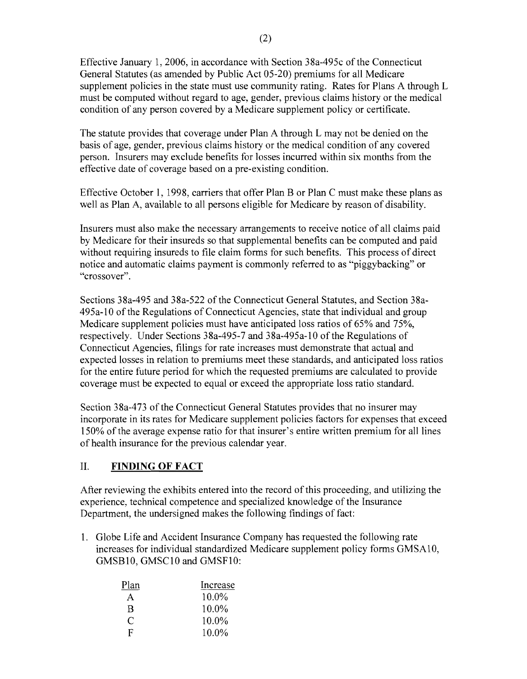Effective January 1,2006, in accordance with Section 38a-495c of the Connecticut General Statutes (as amended by Public Act 05-20) premiums for all Medicare supplement policies in the state must use community rating. Rates for Plans A through L must be computed without regard to age, gender, previous claims history or the medical condition of any person covered by a Medicare supplement policy or certificate.

The statute provides that coverage under Plan A through L may not be denied on the basis of age, gender, previous claims history or the medical condition of any covered person. Insurers may exclude benefits for losses incurred within six months from the effective date of coverage based on a pre-existing condition.

Effective October 1, 1998, carriers that offer Plan B or Plan C must make these plans as well as Plan A, available to all persons eligible for Medicare by reason of disability.

Insurers must also make the necessary arrangements to receive notice of all claims paid by Medicare for their insureds so that supplemental benefits can be computed and paid without requiring insureds to file claim forms for such benefits. This process of direct notice and automatic claims payment is commonly referred to as "piggybacking" or "crossover".

Sections 38a-495 and 38a-522 of the Connecticut General Statutes, and Section 38a-495a-10 of the Regulations of Connecticut Agencies, state that individual and group Medicare supplement policies must have anticipated loss ratios of 65% and 75%, respectively. Under Sections 38a-495-7 and 38a-495a-10 of the Regulations of Connecticut Agencies, filings for rate increases must demonstrate that actual and expected losses in relation to premiums meet these standards, and anticipated loss ratios for the entire future period for which the requested premiums are calculated to provide coverage must be expected to equal or exceed the appropriate loss ratio standard.

Section 38a-473 of the Connecticut General Statutes provides that no insurer may incorporate in its rates for Medicare supplement policies factors for expenses that exceed 150% of the average expense ratio for that insurer's entire written premium for all lines of health insurance for the previous calendar year.

# II. **FINDING OF FACT**

After reviewing the exhibits entered into the record of this proceeding, and utilizing the experience, technical competence and specialized knowledge of the Insurance Department, the undersigned makes the following findings of fact:

1. Globe Life and Accident Insurance Company has requested the following rate increases for individual standardized Medicare supplement policy forms GMSA10, GMSB10, GMSC10 and GMSF10:

| Plan | Increase |
|------|----------|
| A    | 10.0%    |
| R    | 10.0%    |
| C    | 10.0%    |
| F    | 10.0%    |